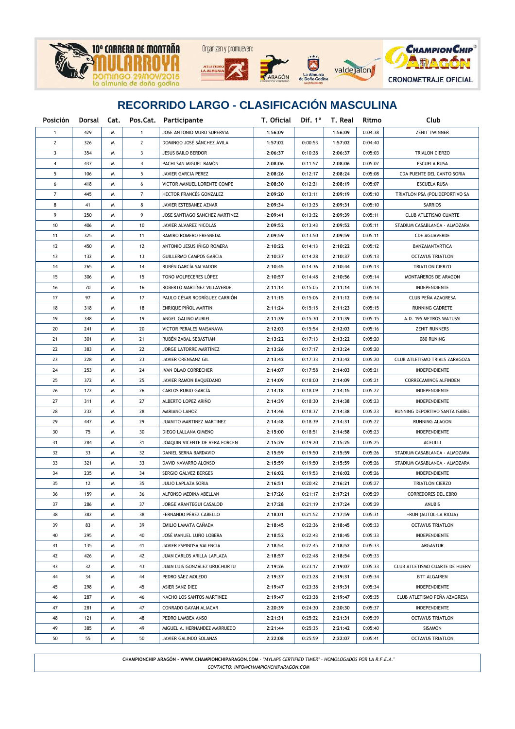

| Posición       |     |   |                | Dorsal Cat. Pos.Cat. Participante | T. Oficial |         | Dif. 1° T. Real | Ritmo   | Club                           |  |  |
|----------------|-----|---|----------------|-----------------------------------|------------|---------|-----------------|---------|--------------------------------|--|--|
| 1              | 429 | W | $\mathbf{1}$   | JOSE ANTONIO MURO SUPERVIA        | 1:56:09    |         | 1:56:09         | 0:04:38 | <b>ZENIT TWINNER</b>           |  |  |
| 2              | 326 | W | $\mathbf{2}$   | DOMINGO JOSÉ SÁNCHEZ ÁVILA        | 1:57:02    | 0:00:53 | 1:57:02         | 0:04:40 |                                |  |  |
| 3              | 354 | W | 3              | <b>JESUS BAILO BERDOR</b>         | 2:06:37    | 0:10:28 | 2:06:37         | 0:05:03 | TRIALON CIERZO                 |  |  |
| 4              | 437 | W | 4              | PACHI SAN MIGUEL RAMÓN            | 2:08:06    | 0:11:57 | 2:08:06         | 0:05:07 | <b>ESCUELA RUSA</b>            |  |  |
| 5              | 106 | W | 5              | JAVIER GARCIA PEREZ               | 2:08:26    | 0:12:17 | 2:08:24         | 0:05:08 | CDA PUENTE DEL CANTO SORIA     |  |  |
| 6              | 418 | W | 6              | VICTOR MANUEL LORENTE COMPE       | 2:08:30    | 0:12:21 | 2:08:19         | 0:05:07 | <b>ESCUELA RUSA</b>            |  |  |
| $\overline{7}$ | 445 | W | $\overline{7}$ | HECTOR FRANCÉS GONZALEZ           | 2:09:20    | 0:13:11 | 2:09:19         | 0:05:10 | TRIATLON PSA (POLIDEPORTIVO SA |  |  |
| 8              | 41  | W | 8              | JAVIER ESTEBANEZ AZNAR            | 2:09:34    | 0:13:25 | 2:09:31         | 0:05:10 | <b>SARRIOS</b>                 |  |  |
| 9              | 250 | W | 9              | JOSE SANTIAGO SANCHEZ MARTINEZ    | 2:09:41    | 0:13:32 | 2:09:39         | 0:05:11 | <b>CLUB ATLETISMO CUARTE</b>   |  |  |
| 10             | 406 | M | 10             | JAVIER ALVAREZ NICOLAS            | 2:09:52    | 0:13:43 | 2:09:52         | 0:05:11 | STADIUM CASABLANCA - ALMOZARA  |  |  |
| 11             | 325 | M | 11             | RAMIRO ROMERO FRESNEDA            | 2:09:59    | 0:13:50 | 2:09:59         | 0:05:11 | <b>CDE AGUAVERDE</b>           |  |  |
| 12             | 450 | M | 12             | ANTONIO JESUS IÑIGO ROMERA        | 2:10:22    | 0:14:13 | 2:10:22         | 0:05:12 | BANZAIANTARTICA                |  |  |
| 13             | 132 | M | 13             | <b>GUILLERMO CAMPOS GARCIA</b>    | 2:10:37    | 0:14:28 | 2:10:37         | 0:05:13 | <b>OCTAVUS TRIATLON</b>        |  |  |
| 14             | 265 | W | 14             | RUBÉN GARCÍA SALVADOR             | 2:10:45    | 0:14:36 | 2:10:44         | 0:05:13 | TRIATLON CIERZO                |  |  |
| 15             | 306 | M | 15             | TONO MOLPECERES LOPEZ             | 2:10:57    | 0:14:48 | 2:10:56         | 0:05:14 | MONTANEROS DE ARAGON           |  |  |
| 16             | 70  | W | 16             | ROBERTO MARTÍNEZ VILLAVERDE       | 2:11:14    | 0:15:05 | 2:11:14         | 0:05:14 | <b>INDEPENDIENTE</b>           |  |  |
| 17             | 97  | W | 17             | PAULO CÉSAR RODRÍGUEZ CARRIÓN     | 2:11:15    | 0:15:06 | 2:11:12         | 0:05:14 | CLUB PEÑA AZAGRESA             |  |  |
| 18             | 318 | M | 18             | ENRIQUE PIÑOL MARTIN              | 2:11:24    | 0:15:15 | 2:11:23         | 0:05:15 | <b>RUNNING CADRETE</b>         |  |  |
| 19             | 348 | M | 19             | ANGEL GALINO MURIEL               | 2:11:39    | 0:15:30 | 2:11:39         | 0:05:15 | A.D. 195 METROS WATUSSI        |  |  |
| 20             | 241 | W | 20             | VICTOR PERALES MAISANAVA          | 2:12:03    | 0:15:54 | 2:12:03         | 0:05:16 | <b>ZENIT RUNNERS</b>           |  |  |
| 21             | 301 | м | 21             | RUBEN ZABAL SEBASTIAN             | 2:13:22    | 0:17:13 | 2:13:22         | 0:05:20 | 080 RUNING                     |  |  |
| 22             | 383 | м | 22             | JORGE LATORRE MARTINEZ            | 2:13:26    | 0:17:17 | 2:13:24         | 0:05:20 |                                |  |  |
| 23             | 228 | м | 23             | JAVIER ORENSANZ GIL               | 2:13:42    | 0:17:33 | 2:13:42         | 0:05:20 | CLUB ATLETISMO TRIALS ZARAGOZA |  |  |
| 24             | 253 | м | 24             | IVAN OLMO CORRECHER               | 2:14:07    | 0:17:58 | 2:14:03         | 0:05:21 | INDEPENDIENTE                  |  |  |
| 25             | 372 | м | 25             | JAVIER RAMON BAQUEDANO            | 2:14:09    | 0:18:00 | 2:14:09         | 0:05:21 | CORRECAMINOS ALFINDEN          |  |  |
| 26             | 172 | м | 26             | CARLOS RUBIO GARCÍA               | 2:14:18    | 0:18:09 | 2:14:15         | 0:05:22 | INDEPENDIENTE                  |  |  |
| 27             | 311 | W | 27             | ALBERTO LOPEZ ARIÑO               | 2:14:39    | 0:18:30 | 2:14:38         | 0:05:23 | INDEPENDIENTE                  |  |  |
| 28             | 232 | W | 28             | MARIANO LAHOZ                     | 2:14:46    | 0:18:37 | 2:14:38         | 0:05:23 | RUNNING DEPORTIVO SANTA ISABEL |  |  |
| 29             | 447 | W | 29             | JUANITO MARTINEZ MARTINEZ         | 2:14:48    | 0:18:39 | 2:14:31         | 0:05:22 | RUNNING ALAGON                 |  |  |
| 30             | 75  | W | 30             | DIEGO LALLANA GIMENO              | 2:15:00    | 0:18:51 | 2:14:58         | 0:05:23 | INDEPENDIENTE                  |  |  |
| 31             | 284 | W | 31             | JOAQUIN VICENTE DE VERA FORCEN    | 2:15:29    | 0:19:20 | 2:15:25         | 0:05:25 | ACEULLI                        |  |  |
| 32             | 33  | W | 32             | DANIEL SERNA BARDAVIO             | 2:15:59    | 0:19:50 | 2:15:59         | 0:05:26 | STADIUM CASABLANCA - ALMOZARA  |  |  |
| 33             | 321 | W | 33             | DAVID NAVARRO ALONSO              | 2:15:59    | 0:19:50 | 2:15:59         | 0:05:26 | STADIUM CASABLANCA - ALMOZARA  |  |  |
| 34             | 235 | W | 34             | SERGIO GÁLVEZ BERGES              | 2:16:02    | 0:19:53 | 2:16:02         | 0:05:26 | INDEPENDIENTE                  |  |  |
| 35             | 12  | W | 35             | JULIO LAPLAZA SORIA               | 2:16:51    | 0:20:42 | 2:16:21         | 0:05:27 | TRIATLON CIERZO                |  |  |
| 36             | 159 | W | 36             | ALFONSO MEDINA ABELLAN            | 2:17:26    | 0:21:17 | 2:17:21         | 0:05:29 | <b>CORREDORES DEL EBRO</b>     |  |  |
| 37             | 286 | м | 37             | JORGE ARANTEGUI CASALOD           | 2:17:28    | 0:21:19 | 2:17:24         | 0:05:29 | ANUBIS                         |  |  |
| 38             | 382 | м | 38             | FERNANDO PÉREZ CABELLO            | 2:18:01    | 0:21:52 | 2:17:59         | 0:05:31 | +RUN (AUTOL-LA RIOJA)          |  |  |
| 39             | 83  | м | 39             | EMILIO LAMATA CAÑADA              | 2:18:45    | 0:22:36 | 2:18:45         | 0:05:33 | OCTAVUS TRIATLON               |  |  |
| 40             | 295 | м | 40             | JOSÉ MANUEL LUÑO LOBERA           | 2:18:52    | 0:22:43 | 2:18:45         | 0:05:33 | INDEPENDIENTE                  |  |  |
| 41             | 135 | м | 41             | JAVIER ESPINOSA VALENCIA          | 2:18:54    | 0:22:45 | 2:18:52         | 0:05:33 | ARGASTUR                       |  |  |
| 42             | 426 | м | 42             | JUAN CARLOS ARILLA LAPLAZA        | 2:18:57    | 0:22:48 | 2:18:54         | 0:05:33 |                                |  |  |
| 43             | 32  | м | 43             | JUAN LUIS GONZÁLEZ URUCHURTU      | 2:19:26    | 0:23:17 | 2:19:07         | 0:05:33 | CLUB ATLETISMO CUARTE DE HUERV |  |  |
| 44             | 34  | м | 44             | PEDRO SÁEZ MOLEDO                 | 2:19:37    | 0:23:28 | 2:19:31         | 0:05:34 | <b>BTT ALGAIREN</b>            |  |  |
| 45             | 298 | м | 45             | ASIER SANZ DIEZ                   | 2:19:47    | 0:23:38 | 2:19:31         | 0:05:34 | INDEPENDIENTE                  |  |  |
| 46             | 287 | м | 46             | NACHO LOS SANTOS MARTINEZ         | 2:19:47    | 0:23:38 | 2:19:47         | 0:05:35 | CLUB ATLETISMO PEÑA AZAGRESA   |  |  |
| 47             | 281 | м | 47             | CONRADO GAYAN ALIACAR             | 2:20:39    | 0:24:30 | 2:20:30         | 0:05:37 | INDEPENDIENTE                  |  |  |
| 48             | 121 | м | 48             | PEDRO LAMBEA ANSO                 | 2:21:31    | 0:25:22 | 2:21:31         | 0:05:39 | <b>OCTAVUS TRIATLON</b>        |  |  |
| 49             | 385 | Μ | 49             | MIGUEL A. HERNANDEZ MARRUEDO      | 2:21:44    | 0:25:35 | 2:21:42         | 0:05:40 | SISAMON                        |  |  |
| 50             | 55  | W | 50             | JAVIER GALINDO SOLANAS            | 2:22:08    | 0:25:59 | 2:22:07         | 0:05:41 | <b>OCTAVUS TRIATLON</b>        |  |  |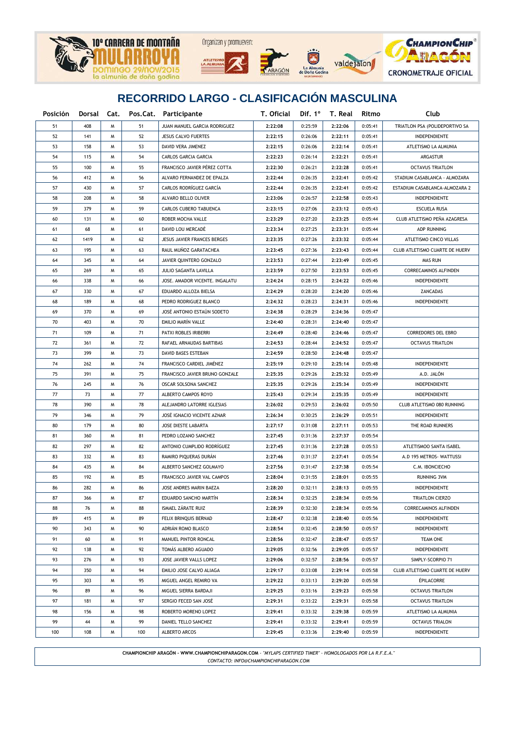





La Almuni<br>Doña God



### **RECORRIDO LARGO - CLASIFICACIÓN MASCULINA**

| Posición | Dorsal Cat. |   |     | Pos.Cat. Participante          | T. Oficial |         | Dif. $1^{\circ}$ T. Real | Ritmo   | Club                           |  |
|----------|-------------|---|-----|--------------------------------|------------|---------|--------------------------|---------|--------------------------------|--|
| 51       | 408         | W | 51  | JUAN MANUEL GARCIA RODRIGUEZ   | 2:22:08    | 0:25:59 | 2:22:06                  | 0:05:41 | TRIATLON PSA (POLIDEPORTIVO SA |  |
| 52       | 141         | W | 52  | <b>JESUS CALVO FUERTES</b>     | 2:22:15    | 0:26:06 | 2:22:11                  | 0:05:41 | INDEPENDIENTE                  |  |
| 53       | 158         | W | 53  | DAVID VERA JIMENEZ             | 2:22:15    | 0:26:06 | 2:22:14                  | 0:05:41 | ATLETISMO LA ALMUNIA           |  |
| 54       | 115         | W | 54  | CARLOS GARCIA GARCIA           | 2:22:23    | 0:26:14 | 2:22:21                  | 0:05:41 | ARGASTUR                       |  |
| 55       | 100         | W | 55  | FRANCISCO JAVIER PÉREZ COTTA   | 2:22:30    | 0:26:21 | 2:22:28                  | 0:05:41 | <b>OCTAVUS TRIATLON</b>        |  |
| 56       | 412         | W | 56  | ALVARO FERNANDEZ DE EPALZA     | 2:22:44    | 0:26:35 | 2:22:41                  | 0:05:42 | STADIUM CASABLANCA - ALMOZARA  |  |
| 57       | 430         | W | 57  | CARLOS RODRÍGUEZ GARCÍA        | 2:22:44    | 0:26:35 | 2:22:41                  | 0:05:42 | ESTADIUM CASABLANCA-ALMOZARA 2 |  |
| 58       | 208         | W | 58  | ALVARO BELLO OLIVER            | 2:23:06    | 0:26:57 | 2:22:58                  | 0:05:43 | INDEPENDIENTE                  |  |
| 59       | 379         | W | 59  | CARLOS CUBERO TABUENCA         | 2:23:15    | 0:27:06 | 2:23:12                  | 0:05:43 | <b>ESCUELA RUSA</b>            |  |
| 60       | 131         | W | 60  | ROBER MOCHA VALLE              | 2:23:29    | 0:27:20 | 2:23:25                  | 0:05:44 | CLUB ATLETISMO PEÑA AZAGRESA   |  |
| 61       | 68          | W | 61  | DAVID LOU MERCADÉ              | 2:23:34    | 0:27:25 | 2:23:31                  | 0:05:44 | ADP RUNNING                    |  |
| 62       | 1419        | W | 62  | JESUS JAVIER FRANCES BERGES    | 2:23:35    | 0:27:26 | 2:23:32                  | 0:05:44 | ATLETISMO CINCO VILLAS         |  |
| 63       | 195         | W | 63  | RAUL MUÑOZ GARATACHEA          | 2:23:45    | 0:27:36 | 2:23:43                  | 0:05:44 | CLUB ATLETISMO CUARTE DE HUERV |  |
| 64       | 345         | W | 64  | JAVIER QUINTERO GONZALO        | 2:23:53    | 0:27:44 | 2:23:49                  | 0:05:45 | MAS RUN                        |  |
| 65       | 269         | W | 65  | JULIO SAGANTA LAVILLA          | 2:23:59    | 0:27:50 | 2:23:53                  | 0:05:45 | CORRECAMINOS ALFINDEN          |  |
| 66       | 338         | W | 66  | JOSE. AMADOR VICENTE. INGALATU | 2:24:24    | 0:28:15 | 2:24:22                  | 0:05:46 | INDEPENDIENTE                  |  |
| 67       | 330         | W | 67  | EDUARDO ALLOZA BIELSA          | 2:24:29    | 0:28:20 | 2:24:20                  | 0:05:46 | ZANCADAS                       |  |
| 68       | 189         | W | 68  | PEDRO RODRIGUEZ BLANCO         | 2:24:32    | 0:28:23 | 2:24:31                  | 0:05:46 | INDEPENDIENTE                  |  |
| 69       | 370         | W | 69  | JOSÉ ANTONIO ESTAÚN SODETO     | 2:24:38    | 0:28:29 | 2:24:36                  | 0:05:47 |                                |  |
| 70       | 403         | W | 70  | EMILIO MARÍN VALLE             | 2:24:40    | 0:28:31 | 2:24:40                  | 0:05:47 |                                |  |
| 71       | 109         | W | 71  | PATXI ROBLES IRIBERRI          | 2:24:49    | 0:28:40 | 2:24:46                  | 0:05:47 | CORREDORES DEL EBRO            |  |
| 72       | 361         | W | 72  | RAFAEL ARNAUDAS BARTIBAS       | 2:24:53    | 0:28:44 | 2:24:52                  | 0:05:47 | <b>OCTAVUS TRIATLON</b>        |  |
| 73       | 399         | W | 73  | DAVID BASES ESTEBAN            | 2:24:59    | 0:28:50 | 2:24:48                  | 0:05:47 |                                |  |
| 74       | 262         | W | 74  | FRANCISCO CARDIEL JIMÉNEZ      | 2:25:19    | 0:29:10 | 2:25:14                  | 0:05:48 | INDEPENDIENTE                  |  |
| 75       | 391         | W | 75  | FRANCISCO JAVIER BRUNO GONZALE | 2:25:35    | 0:29:26 | 2:25:32                  | 0:05:49 | A.D. JALON                     |  |
| 76       | 245         | W | 76  | OSCAR SOLSONA SANCHEZ          | 2:25:35    | 0:29:26 | 2:25:34                  | 0:05:49 | INDEPENDIENTE                  |  |
| 77       | 73          | W | 77  | ALBERTO CAMPOS ROYO            | 2:25:43    | 0:29:34 | 2:25:35                  | 0:05:49 | INDEPENDIENTE                  |  |
| 78       | 390         | W | 78  | ALEJANDRO LATORRE IGLESIAS     | 2:26:02    | 0:29:53 | 2:26:02                  | 0:05:50 | CLUB ATLETISMO 080 RUNNING     |  |
| 79       | 346         | W | 79  | JOSÉ IGNACIO VICENTE AZNAR     | 2:26:34    | 0:30:25 | 2:26:29                  | 0:05:51 | INDEPENDIENTE                  |  |
| 80       | 179         | W | 80  | JOSE DIESTE LABARTA            | 2:27:17    | 0:31:08 | 2:27:11                  | 0:05:53 | THE ROAD RUNNERS               |  |
| 81       | 360         | W | 81  | PEDRO LOZANO SANCHEZ           | 2:27:45    | 0:31:36 | 2:27:37                  | 0:05:54 |                                |  |
| 82       | 297         | W | 82  | ANTONIO CUMPLIDO RODRÍGUEZ     | 2:27:45    | 0:31:36 | 2:27:28                  | 0:05:53 | ATLETISMOO SANTA ISABEL        |  |
| 83       | 332         | W | 83  | RAMIRO PIQUERAS DURÁN          | 2:27:46    | 0:31:37 | 2:27:41                  | 0:05:54 | A.D 195 METROS- WATTUSSI       |  |
| 84       | 435         | W | 84  | ALBERTO SANCHEZ GOLMAYO        | 2:27:56    | 0:31:47 | 2:27:38                  | 0:05:54 | C.M. IBONCIECHO                |  |
| 85       | 192         | W | 85  | FRANCISCO JAVIER VAL CAMPOS    | 2:28:04    | 0:31:55 | 2:28:01                  | 0:05:55 | <b>RUNNING 3VM</b>             |  |
| 86       | 282         | W | 86  | JOSE ANDRES MARIN BAEZA        | 2:28:20    | 0:32:11 | 2:28:13                  | 0:05:55 | INDEPENDIENTE                  |  |
| 87       | 366         | м | 87  | EDUARDO SANCHO MARTÍN          | 2:28:34    | 0:32:25 | 2:28:34                  | 0:05:56 | TRIATLON CIERZO                |  |
| 88       | 76          | W | 88  | ISMAEL ZÁRATE RUIZ             | 2:28:39    | 0:32:30 | 2:28:34                  | 0:05:56 | CORRECAMINOS ALFINDEN          |  |
| 89       | 415         | м | 89  | FELIX BRINQUIS BERNAD          | 2:28:47    | 0:32:38 | 2:28:40                  | 0:05:56 | <b>INDEPENDIENTE</b>           |  |
| 90       | 343         | м | 90  | ADRIAN ROMO BLASCO             | 2:28:54    | 0:32:45 | 2:28:50                  | 0:05:57 | INDEPENDIENTE                  |  |
| 91       | 60          | м | 91  | MANUEL PINTOR RONCAL           | 2:28:56    | 0:32:47 | 2:28:47                  | 0:05:57 | TEAM ONE                       |  |
| 92       | 138         | м | 92  | TOMÁS ALBERO AGUADO            | 2:29:05    | 0:32:56 | 2:29:05                  | 0:05:57 | INDEPENDIENTE                  |  |
| 93       | 276         | м | 93  | JOSE JAVIER VALLS LOPEZ        | 2:29:06    | 0:32:57 | 2:28:56                  | 0:05:57 | SIMPLY-SCORPIO 71              |  |
| 94       | 350         | м | 94  | EMILIO JOSE CALVO ALIAGA       | 2:29:17    | 0:33:08 | 2:29:14                  | 0:05:58 | CLUB ATLETISMO CUARTE DE HUERV |  |
| 95       | 303         | м | 95  | MIGUEL ANGEL REMIRO VA         | 2:29:22    | 0:33:13 | 2:29:20                  | 0:05:58 | <b>ÉPILACORRE</b>              |  |
| 96       | 89          | м | 96  | MIGUEL SIERRA BARDAJI          | 2:29:25    | 0:33:16 | 2:29:23                  | 0:05:58 | <b>OCTAVUS TRIATLON</b>        |  |
| 97       | 181         | м | 97  | SERGIO FECED SAN JOSÉ          | 2:29:31    | 0:33:22 | 2:29:31                  | 0:05:58 | <b>OCTAVUS TRIATLON</b>        |  |
| 98       | 156         | м | 98  | ROBERTO MORENO LOPEZ           | 2:29:41    | 0:33:32 | 2:29:38                  | 0:05:59 | ATLETISMO LA ALMUNIA           |  |
| 99       | 44          | м | 99  | DANIEL TELLO SANCHEZ           | 2:29:41    | 0:33:32 | 2:29:41                  | 0:05:59 | <b>OCTAVUS TRIALON</b>         |  |
| 100      | 108         | м | 100 | ALBERTO ARCOS                  | 2:29:45    | 0:33:36 | 2:29:40                  | 0:05:59 | INDEPENDIENTE                  |  |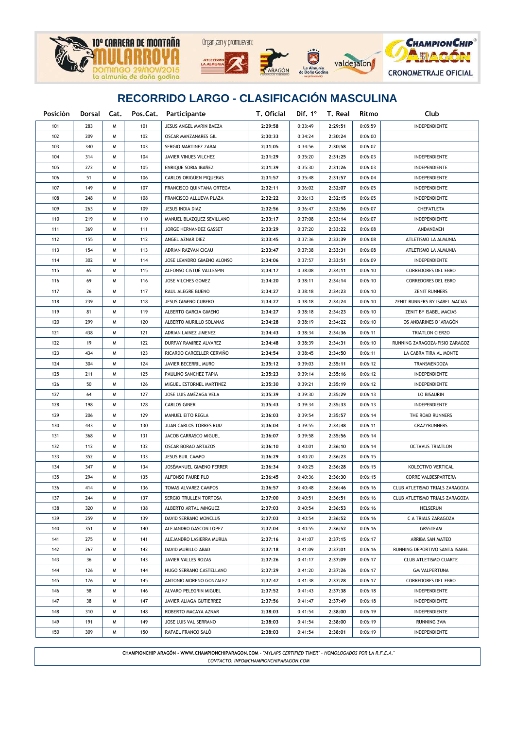







| Posición | Dorsal | Cat. |     | Pos.Cat. Participante      | T. Oficial |         | Dif. 1° T. Real | Ritmo   | Club                           |  |
|----------|--------|------|-----|----------------------------|------------|---------|-----------------|---------|--------------------------------|--|
| 101      | 283    | W    | 101 | JESUS ANGEL MARIN BAEZA    | 2:29:58    | 0:33:49 | 2:29:51         | 0:05:59 | INDEPENDIENTE                  |  |
| 102      | 209    | м    | 102 | OSCAR MANZANARES GIL       | 2:30:33    | 0:34:24 | 2:30:24         | 0:06:00 |                                |  |
| 103      | 340    | м    | 103 | SERGIO MARTINEZ ZABAL      | 2:31:05    | 0:34:56 | 2:30:58         | 0:06:02 |                                |  |
| 104      | 314    | м    | 104 | JAVIER VINUES VILCHEZ      | 2:31:29    | 0:35:20 | 2:31:25         | 0:06:03 | INDEPENDIENTE                  |  |
| 105      | 272    | м    | 105 | ENRIQUE SORIA IBAÑEZ       | 2:31:39    | 0:35:30 | 2:31:26         | 0:06:03 | INDEPENDIENTE                  |  |
| 106      | 51     | м    | 106 | CARLOS ORIGÜEN PIQUERAS    | 2:31:57    | 0:35:48 | 2:31:57         | 0:06:04 | INDEPENDIENTE                  |  |
| 107      | 149    | м    | 107 | FRANCISCO QUINTANA ORTEGA  | 2:32:11    | 0:36:02 | 2:32:07         | 0:06:05 | INDEPENDIENTE                  |  |
| 108      | 248    | W    | 108 | FRANCISCO ALLUEVA PLAZA    | 2:32:22    | 0:36:13 | 2:32:15         | 0:06:05 | INDEPENDIENTE                  |  |
| 109      | 263    | м    | 109 | JESUS INDIA DIAZ           | 2:32:56    | 0:36:47 | 2:32:56         | 0:06:07 | CHEFATLETA                     |  |
| 110      | 219    | м    | 110 | MANUEL BLAZQUEZ SEVILLANO  | 2:33:17    | 0:37:08 | 2:33:14         | 0:06:07 | INDEPENDIENTE                  |  |
| 111      | 369    | м    | 111 | JORGE HERNANDEZ GASSET     | 2:33:29    | 0:37:20 | 2:33:22         | 0:06:08 | ANDANDAEH                      |  |
| 112      | 155    | м    | 112 | ANGEL AZNAR DIEZ           | 2:33:45    | 0:37:36 | 2:33:39         | 0:06:08 | ATLETISMO LA ALMUNIA           |  |
| 113      | 154    | м    | 113 | ADRIAN RAZVAN CICAU        | 2:33:47    | 0:37:38 | 2:33:31         | 0:06:08 | ATLETISMO LA ALMUNIA           |  |
| 114      | 302    | м    | 114 | JOSE LEANDRO GIMENO ALONSO | 2:34:06    | 0:37:57 | 2:33:51         | 0:06:09 | INDEPENDIENTE                  |  |
| 115      | 65     | м    | 115 | ALFONSO CISTUÉ VALLESPIN   | 2:34:17    | 0:38:08 | 2:34:11         | 0:06:10 | CORREDORES DEL EBRO            |  |
| 116      | 69     | м    | 116 | JOSE VILCHES GOMEZ         | 2:34:20    | 0:38:11 | 2:34:14         | 0:06:10 | <b>CORREDORES DEL EBRO</b>     |  |
| 117      | 26     | м    | 117 | RAUL ALEGRE BUENO          | 2:34:27    | 0:38:18 | 2:34:23         | 0:06:10 | <b>ZENIT RUNNERS</b>           |  |
| 118      | 239    | м    | 118 | JESUS GIMENO CUBERO        | 2:34:27    | 0:38:18 | 2:34:24         | 0:06:10 | ZENIT RUNNERS BY ISABEL MACIAS |  |
| 119      | 81     | м    | 119 | ALBERTO GARCIA GIMENO      | 2:34:27    | 0:38:18 | 2:34:23         | 0:06:10 | ZENIT BY ISABEL MACIAS         |  |
| 120      | 299    | м    | 120 | ALBERTO MURILLO SOLANAS    | 2:34:28    | 0:38:19 | 2:34:22         | 0:06:10 | OS ANDARINES D'ARAGÓN          |  |
| 121      | 438    | м    | 121 | ADRIAN LAINEZ JIMENEZ      | 2:34:43    | 0:38:34 | 2:34:36         | 0:06:11 | TRIATLON CIERZO                |  |
| 122      | 19     | м    | 122 | DURFAY RAMIREZ ALVAREZ     | 2:34:48    | 0:38:39 | 2:34:31         | 0:06:10 | RUNNING ZARAGOZA-FISIO ZARAGOZ |  |
| 123      | 434    | м    | 123 | RICARDO CARCELLER CERVIÑO  | 2:34:54    | 0:38:45 | 2:34:50         | 0:06:11 | LA CABRA TIRA AL MONTE         |  |
| 124      | 304    | м    | 124 | JAVIER BECERRIL MURO       | 2:35:12    | 0:39:03 | 2:35:11         | 0:06:12 | TRANSMENDOZA                   |  |
| 125      | 211    | м    | 125 | PAULINO SANCHEZ TAPIA      | 2:35:23    | 0:39:14 | 2:35:16         | 0:06:12 | INDEPENDIENTE                  |  |
| 126      | 50     | м    | 126 | MIGUEL ESTORNEL MARTINEZ   | 2:35:30    | 0:39:21 | 2:35:19         | 0:06:12 | INDEPENDIENTE                  |  |
| 127      | 64     | м    | 127 | JOSE LUIS AMÉZAGA VELA     | 2:35:39    | 0:39:30 | 2:35:29         | 0:06:13 | LO BISAURIN                    |  |
| 128      | 198    | м    | 128 | <b>CARLOS GINER</b>        | 2:35:43    | 0:39:34 | 2:35:33         | 0:06:13 | INDEPENDIENTE                  |  |
| 129      | 206    | м    | 129 | MANUEL EITO REGLA          | 2:36:03    | 0:39:54 | 2:35:57         | 0:06:14 | THE ROAD RUNNERS               |  |
| 130      | 443    | м    | 130 | JUAN CARLOS TORRES RUIZ    | 2:36:04    | 0:39:55 | 2:34:48         | 0:06:11 | CRAZYRUNNERS                   |  |
| 131      | 368    | м    | 131 | JACOB CARRASCO MIGUEL      | 2:36:07    | 0:39:58 | 2:35:56         | 0:06:14 |                                |  |
| 132      | 112    | W    | 132 | <b>OSCAR BORAO ARTAZOS</b> | 2:36:10    | 0:40:01 | 2:36:10         | 0:06:14 | <b>OCTAVUS TRIATLON</b>        |  |
| 133      | 352    | м    | 133 | JESUS BUIL CAMPO           | 2:36:29    | 0:40:20 | 2:36:23         | 0:06:15 |                                |  |
| 134      | 347    | м    | 134 | JOSÉMANUEL GIMENO FERRER   | 2:36:34    | 0:40:25 | 2:36:28         | 0:06:15 | KOLECTIVO VERTICAL             |  |
| 135      | 294    | м    | 135 | ALFONSO FAURE PLO          | 2:36:45    | 0:40:36 | 2:36:30         | 0:06:15 | CORRE VALDESPARTERA            |  |
| 136      | 414    | W    | 136 | TOMAS ALVAREZ CAMPOS       | 2:36:57    | 0:40:48 | 2:36:46         | 0:06:16 | CLUB ATLETISMO TRIALS ZARAGOZA |  |
| 137      | 244    | м    | 137 | SERGIO TRULLEN TORTOSA     | 2:37:00    | 0:40:51 | 2:36:51         | 0:06:16 | CLUB ATLETISMO TRIALS ZARAGOZA |  |
| 138      | 320    | м    | 138 | ALBERTO ARTAL MINGUEZ      | 2:37:03    | 0:40:54 | 2:36:53         | 0:06:16 | HELSERUN                       |  |
| 139      | 259    | м    | 139 | DAVID SERRANO MONCLUS      | 2:37:03    | 0:40:54 | 2:36:52         | 0:06:16 | C A TRIALS ZARAGOZA            |  |
| 140      | 351    | м    | 140 | ALEJANDRO GASCON LOPEZ     | 2:37:04    | 0:40:55 | 2:36:52         | 0:06:16 | GRS5TEAM                       |  |
| 141      | 275    | м    | 141 | ALEJANDRO LASIERRA MURUA   | 2:37:16    | 0:41:07 | 2:37:15         | 0:06:17 | ARRIBA SAN MATEO               |  |
| 142      | 267    | м    | 142 | DAVID MURILLO ABAD         | 2:37:18    | 0:41:09 | 2:37:01         | 0:06:16 | RUNNING DEPORTIVO SANTA ISABEL |  |
| 143      | 36     | м    | 143 | JAVIER VALLES ROZAS        | 2:37:26    | 0:41:17 | 2:37:09         | 0:06:17 | <b>CLUB ATLETISMO CUARTE</b>   |  |
| 144      | 126    | м    | 144 | HUGO SERRANO CASTELLANO    | 2:37:29    | 0:41:20 | 2:37:26         | 0:06:17 | <b>GM VALPERTUNA</b>           |  |
| 145      | 176    | м    | 145 | ANTONIO MORENO GONZALEZ    | 2:37:47    | 0:41:38 | 2:37:28         | 0:06:17 | CORREDORES DEL EBRO            |  |
| 146      | 58     | м    | 146 | ALVARO PELEGRIN MIGUEL     | 2:37:52    | 0:41:43 | 2:37:38         | 0:06:18 | INDEPENDIENTE                  |  |
| 147      | 38     | м    | 147 | JAVIER ALIAGA GUTIERREZ    | 2:37:56    | 0:41:47 | 2:37:49         | 0:06:18 | INDEPENDIENTE                  |  |
| 148      | 310    | м    | 148 | ROBERTO MACAYA AZNAR       | 2:38:03    | 0:41:54 | 2:38:00         | 0:06:19 | INDEPENDIENTE                  |  |
| 149      | 191    | м    | 149 | JOSE LUIS VAL SERRANO      | 2:38:03    | 0:41:54 | 2:38:00         | 0:06:19 | <b>RUNNING 3VM</b>             |  |
| 150      | 309    | м    | 150 | RAFAEL FRANCO SALÓ         | 2:38:03    | 0:41:54 | 2:38:01         | 0:06:19 | INDEPENDIENTE                  |  |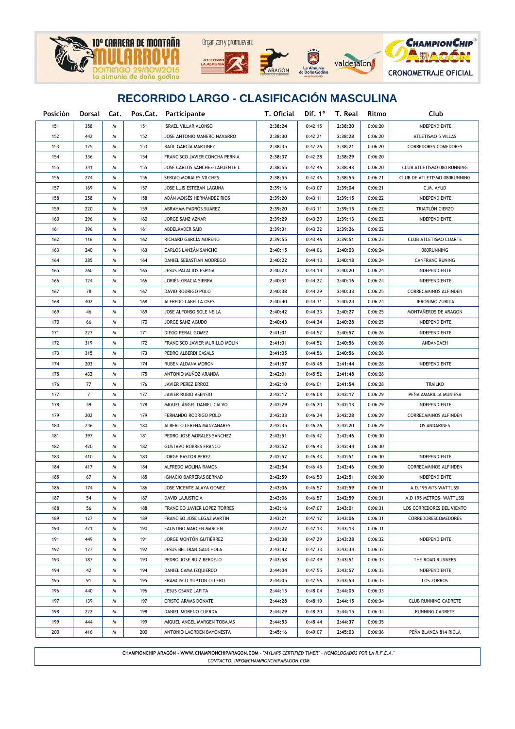

| Posición | Dorsal Cat.    |   |     | Pos.Cat. Participante          | T. Oficial | Dif. $1^\circ$ | T. Real | Ritmo   | Club                         |  |
|----------|----------------|---|-----|--------------------------------|------------|----------------|---------|---------|------------------------------|--|
| 151      | 358            | м | 151 | <b>ISRAEL VILLAR ALONSO</b>    | 2:38:24    | 0:42:15        | 2:38:20 | 0:06:20 | INDEPENDIENTE                |  |
| 152      | 442            | M | 152 | JOSE ANTONIO MANERO NAVARRO    | 2:38:30    | 0:42:21        | 2:38:28 | 0:06:20 | ATLETISMO 5 VILLAS           |  |
| 153      | 125            | M | 153 | RAÚL GARCÍA MARTINEZ           | 2:38:35    | 0:42:26        | 2:38:21 | 0:06:20 | <b>CORREDORES COMEDORES</b>  |  |
| 154      | 336            | M | 154 | FRANCISCO JAVIER CONCHA PERNIA | 2:38:37    | 0:42:28        | 2:38:29 | 0:06:20 |                              |  |
| 155      | 341            | M | 155 | JOSÉ CARLOS SANCHEZ-LAFUENTE L | 2:38:55    | 0:42:46        | 2:38:43 | 0:06:20 | CLUB ATLETISMO 080 RUNNING   |  |
| 156      | 274            | M | 156 | SERGIO MORALES VILCHES         | 2:38:55    | 0:42:46        | 2:38:55 | 0:06:21 | CLUB DE ATLETISMO 080RUNNING |  |
| 157      | 169            | M | 157 | JOSE LUIS ESTEBAN LAGUNA       | 2:39:16    | 0:43:07        | 2:39:04 | 0:06:21 | C.M. AYUD                    |  |
| 158      | 258            | M | 158 | ADÁN MOISÉS HERNÁNDEZ RIOS     | 2:39:20    | 0:43:11        | 2:39:15 | 0:06:22 | INDEPENDIENTE                |  |
| 159      | 220            | M | 159 | ABRAHAM PADRÒS SUÁREZ          | 2:39:20    | 0:43:11        | 2:39:15 | 0:06:22 | TRIATLÓN CIERZO              |  |
| 160      | 296            | M | 160 | JORGE SANZ AZNAR               | 2:39:29    | 0:43:20        | 2:39:13 | 0:06:22 | <b>INDEPENDIENTE</b>         |  |
| 161      | 396            | M | 161 | ABDELKADER SAID                | 2:39:31    | 0:43:22        | 2:39:26 | 0:06:22 |                              |  |
| 162      | 116            | M | 162 | RICHARD GARCÍA MORENO          | 2:39:55    | 0:43:46        | 2:39:51 | 0:06:23 | CLUB ATLETISMO CUARTE        |  |
| 163      | 240            | M | 163 | CARLOS LANZÁN SANCHO           | 2:40:15    | 0:44:06        | 2:40:03 | 0:06:24 | 080RUNNING                   |  |
| 164      | 285            | M | 164 | DANIEL SEBASTIAN MODREGO       | 2:40:22    | 0:44:13        | 2:40:18 | 0:06:24 | CANFRANC RUNING              |  |
| 165      | 260            | M | 165 | JESUS PALACIOS ESPINA          | 2:40:23    | 0:44:14        | 2:40:20 | 0:06:24 | INDEPENDIENTE                |  |
| 166      | 124            | M | 166 | LORIÉN GRACIA SIERRA           | 2:40:31    | 0:44:22        | 2:40:16 | 0:06:24 | INDEPENDIENTE                |  |
| 167      | 78             | M | 167 | DAVID RODRIGO POLO             | 2:40:38    | 0:44:29        | 2:40:33 | 0:06:25 | CORRECAMINOS ALFINDEN        |  |
| 168      | 402            | M | 168 | ALFREDO LABELLA OSES           | 2:40:40    | 0:44:31        | 2:40:24 | 0:06:24 | JERONIMO ZURITA              |  |
| 169      | 46             | M | 169 | JOSE ALFONSO SOLE NEILA        | 2:40:42    | 0:44:33        | 2:40:27 | 0:06:25 | MONTAÑEROS DE ARAGON         |  |
| 170      | 66             | M | 170 | JORGE SANZ AGUDO               | 2:40:43    | 0:44:34        | 2:40:28 | 0:06:25 | INDEPENDIENTE                |  |
| 171      | 227            | M | 171 | DIEGO PERAL GOMEZ              | 2:41:01    | 0:44:52        | 2:40:57 | 0:06:26 | INDEPENDIENTE                |  |
| 172      | 319            | M | 172 | FRANCISCO JAVIER MURILLO MOLIN | 2:41:01    | 0:44:52        | 2:40:56 | 0:06:26 | ANDANDAEH                    |  |
| 173      | 315            | M | 173 | PEDRO ALBERDI CASALS           | 2:41:05    | 0:44:56        | 2:40:56 | 0:06:26 |                              |  |
| 174      | 203            | M | 174 | RUBEN ALDANA MORON             | 2:41:57    | 0:45:48        | 2:41:44 | 0:06:28 | INDEPENDIENTE                |  |
| 175      | 432            | M | 175 | ANTONIO MUÑOZ ARANDA           | 2:42:01    | 0:45:52        | 2:41:48 | 0:06:28 |                              |  |
| 176      | 77             | M | 176 | JAVIER PEREZ ERROZ             | 2:42:10    | 0:46:01        | 2:41:54 | 0:06:28 | <b>TRAILKO</b>               |  |
| 177      | $\overline{7}$ | M | 177 | JAVIER RUBIO ASENSIO           | 2:42:17    | 0:46:08        | 2:42:17 | 0:06:29 | PEÑA AMARILLA MUNIESA        |  |
| 178      | 49             | M | 178 | MIGUEL ÁNGEL DANIEL CALVO      | 2:42:29    | 0:46:20        | 2:42:13 | 0:06:29 | INDEPENDIENTE                |  |
| 179      | 202            | M | 179 | FERNANDO RODRIGO POLO          | 2:42:33    | 0:46:24        | 2:42:28 | 0:06:29 | <b>CORRECAMINOS ALFINDEN</b> |  |
| 180      | 246            | M | 180 | ALBERTO LERENA MANZANARES      | 2:42:35    | 0:46:26        | 2:42:20 | 0:06:29 | <b>OS ANDARINES</b>          |  |
| 181      | 397            | M | 181 | PEDRO JOSE MORALES SANCHEZ     | 2:42:51    | 0:46:42        | 2:42:46 | 0:06:30 |                              |  |
| 182      | 420            | M | 182 | <b>GUSTAVO ROBRES FRANCO</b>   | 2:42:52    | 0:46:43        | 2:42:44 | 0:06:30 |                              |  |
| 183      | 410            | M | 183 | JORGE PASTOR PEREZ             | 2:42:52    | 0:46:43        | 2:42:51 | 0:06:30 | INDEPENDIENTE                |  |
| 184      | 417            | M | 184 | ALFREDO MOLINA RAMOS           | 2:42:54    | 0:46:45        | 2:42:46 | 0:06:30 | CORRECAMINOS ALFINDEN        |  |
| 185      | 67             | M | 185 | <b>IGNACIO BARRERAS BERNAD</b> | 2:42:59    | 0:46:50        | 2:42:51 | 0:06:30 | INDEPENDIENTE                |  |
| 186      | 174            | M | 186 | JOSE VICENTE ALAYA GOMEZ       | 2:43:06    | 0:46:57        | 2:42:59 | 0:06:31 | A.D.195 MTS WATTUSSI         |  |
| 187      | 54             | M | 187 | DAVID LAJUSTICIA               | 2:43:06    | 0:46:57        | 2:42:59 | 0:06:31 | A.D 195 METROS- WATTUSSI     |  |
| 188      | 56             | M | 188 | FRANCICO JAVIER LOPEZ TORRES   | 2:43:16    | 0:47:07        | 2:43:01 | 0:06:31 | LOS CORREDORES DEL VIENTO    |  |
| 189      | 127            | M | 189 | FRANCISO JOSE LEGAZ MARTIN     | 2:43:21    | 0:47:12        | 2:43:06 | 0:06:31 | <b>CORREDORESCOMEDORES</b>   |  |
| 190      | 421            | M | 190 | FAUSTINO MARCEN MARCEN         | 2:43:22    | 0:47:13        | 2:43:13 | 0:06:31 |                              |  |
| 191      | 449            | M | 191 | JORGE MONTÓN GUTIÉRREZ         | 2:43:38    | 0:47:29        | 2:43:28 | 0:06:32 | INDEPENDIENTE                |  |
| 192      | 177            | M | 192 | JESUS BELTRAN GAUCHOLA         | 2:43:42    | 0:47:33        | 2:43:34 | 0:06:32 |                              |  |
| 193      | 187            | M | 193 | PEDRO JOSE RUIZ BERDEJO        | 2:43:58    | 0:47:49        | 2:43:51 | 0:06:33 | THE ROAD RUNNERS             |  |
| 194      | 42             | W | 194 | DANIEL CAMA IZQUIERDO          | 2:44:04    | 0:47:55        | 2:43:57 | 0:06:33 | <b>INDEPENDIENTE</b>         |  |
| 195      | 91             | W | 195 | FRAMCISCO YUPTON OLLERO        | 2:44:05    | 0:47:56        | 2:43:54 | 0:06:33 | <b>LOS ZORROS</b>            |  |
| 196      | 440            | W | 196 | JESUS OSANZ LAFITA             | 2:44:13    | 0:48:04        | 2:44:05 | 0:06:33 |                              |  |
| 197      | 139            | W | 197 | <b>CRISTO ARMAS DONATE</b>     | 2:44:28    | 0:48:19        | 2:44:15 | 0:06:34 | <b>CLUB RUNNING CADRETE</b>  |  |
| 198      | 222            | W | 198 | DANIEL MORENO CUERDA           | 2:44:29    | 0:48:20        | 2:44:15 | 0:06:34 | RUNNING CADRETE              |  |
| 199      | 444            | M | 199 | MIGUEL ANGEL MARGEN TOBAJAS    | 2:44:53    | 0:48:44        | 2:44:37 | 0:06:35 |                              |  |
| 200      | 416            | M | 200 | ANTONIO LAORDEN BAYONESTA      | 2:45:16    | 0:49:07        | 2:45:03 | 0:06:36 | PEÑA BLANCA 814 RICLA        |  |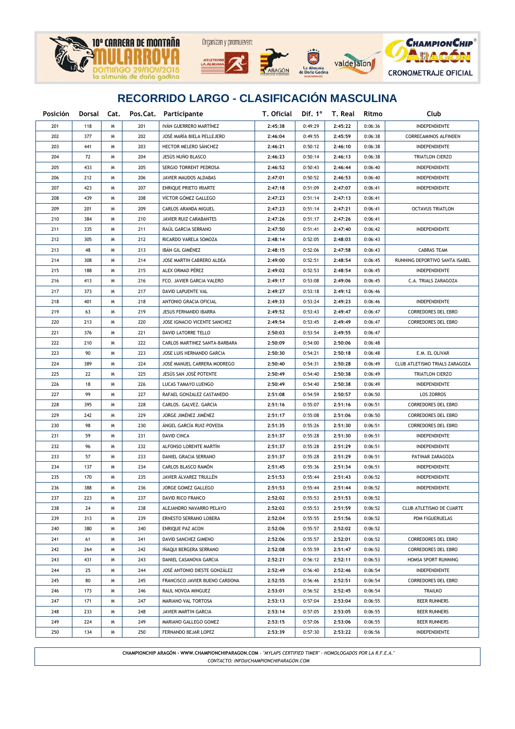







| Posición |     |   |     | Dorsal Cat. Pos.Cat. Participante | T. Oficial |         | Dif. 1 <sup>°</sup> T. Real | Ritmo   | Club                           |  |
|----------|-----|---|-----|-----------------------------------|------------|---------|-----------------------------|---------|--------------------------------|--|
| 201      | 118 | W | 201 | IVÁN GUERRERO MARTÍNEZ            | 2:45:38    | 0:49:29 | 2:45:22                     | 0:06:36 | INDEPENDIENTE                  |  |
| 202      | 377 | W | 202 | JOSÉ MARÍA BIELA PELLEJERO        | 2:46:04    | 0:49:55 | 2:45:59                     | 0:06:38 | CORRECAMINOS ALFINDEN          |  |
| 203      | 441 | M | 203 | HECTOR MELERO SÁNCHEZ             | 2:46:21    | 0:50:12 | 2:46:10                     | 0:06:38 | INDEPENDIENTE                  |  |
| 204      | 72  | M | 204 | JESÙS NUÑO BLASCO                 | 2:46:23    | 0:50:14 | 2:46:13                     | 0:06:38 | <b>TRIATLON CIERZO</b>         |  |
| 205      | 433 | M | 205 | SERGIO TORRENT PEDROSA            | 2:46:52    | 0:50:43 | 2:46:44                     | 0:06:40 | INDEPENDIENTE                  |  |
| 206      | 212 | M | 206 | JAVIER MAUDOS ALDABAS             | 2:47:01    | 0:50:52 | 2:46:53                     | 0:06:40 | INDEPENDIENTE                  |  |
| 207      | 423 | M | 207 | ENRIQUE PRIETO IRIARTE            | 2:47:18    | 0:51:09 | 2:47:07                     | 0:06:41 | INDEPENDIENTE                  |  |
| 208      | 439 | M | 208 | VÍCTOR GÓMEZ GALLEGO              | 2:47:23    | 0:51:14 | 2:47:13                     | 0:06:41 |                                |  |
| 209      | 201 | M | 209 | CARLOS ARANDA MIGUEL              | 2:47:23    | 0:51:14 | 2:47:21                     | 0:06:41 | <b>OCTAVUS TRIATLON</b>        |  |
| 210      | 384 | M | 210 | JAVIER RUIZ CARABANTES            | 2:47:26    | 0:51:17 | 2:47:26                     | 0:06:41 |                                |  |
| 211      | 335 | M | 211 | RAÚL GARCIA SERRANO               | 2:47:50    | 0:51:41 | 2:47:40                     | 0:06:42 | <b>INDEPENDIENTE</b>           |  |
| 212      | 305 | M | 212 | RICARDO VARELA SOMOZA             | 2:48:14    | 0:52:05 | 2:48:03                     | 0:06:43 |                                |  |
| 213      | 48  | M | 213 | IBÁN GIL GIMÉNEZ                  | 2:48:15    | 0:52:06 | 2:47:58                     | 0:06:43 | <b>CABRAS TEAM</b>             |  |
| 214      | 308 | M | 214 | JOSE MARTIN CABRERO ALDEA         | 2:49:00    | 0:52:51 | 2:48:54                     | 0:06:45 | RUNNING DEPORTIVO SANTA ISABEL |  |
| 215      | 188 | M | 215 | ALEX ORMAD PÉREZ                  | 2:49:02    | 0:52:53 | 2:48:54                     | 0:06:45 | <b>INDEPENDIENTE</b>           |  |
| 216      | 413 | м | 216 | FCO. JAVIER GARCIA VALERO         | 2:49:17    | 0:53:08 | 2:49:06                     | 0:06:45 | C.A. TRIALS ZARAGOZA           |  |
| 217      | 373 | м | 217 | <b>DAVID LAPUENTE VAL</b>         | 2:49:27    | 0:53:18 | 2:49:12                     | 0:06:46 |                                |  |
| 218      | 401 | м | 218 | ANTONIO GRACIA OFICIAL            | 2:49:33    | 0:53:24 | 2:49:23                     | 0:06:46 | INDEPENDIENTE                  |  |
| 219      | 63  | M | 219 | JESUS FERNANDO IBARRA             | 2:49:52    | 0:53:43 | 2:49:47                     | 0:06:47 | <b>CORREDORES DEL EBRO</b>     |  |
| 220      | 213 | м | 220 | JOSE IGNACIO VICENTE SANCHEZ      | 2:49:54    | 0:53:45 | 2:49:49                     | 0:06:47 | <b>CORREDORES DEL EBRO</b>     |  |
| 221      | 376 | M | 221 | DAVID LATORRE TELLO               | 2:50:03    | 0:53:54 | 2:49:55                     | 0:06:47 |                                |  |
| 222      | 210 | M | 222 | CARLOS MARTINEZ SANTA-BARBARA     | 2:50:09    | 0:54:00 | 2:50:06                     | 0:06:48 |                                |  |
| 223      | 90  | M | 223 | JOSE LUIS HERNANDO GARCIA         | 2:50:30    | 0:54:21 | 2:50:18                     | 0:06:48 | E.M. EL OLIVAR                 |  |
| 224      | 389 | M | 224 | JOSÉ MANUEL CARRERA MODREGO       | 2:50:40    | 0:54:31 | 2:50:28                     | 0:06:49 | CLUB ATLETISMO TRIALS ZARAGOZA |  |
| 225      | 22  | M | 225 | JESÚS SAN JOSÉ POTENTE            | 2:50:49    | 0:54:40 | 2:50:38                     | 0:06:49 | TRIATLON CIERZO                |  |
| 226      | 18  | M | 226 | LUCAS TAMAYO LUENGO               | 2:50:49    | 0:54:40 | 2:50:38                     | 0:06:49 | INDEPENDIENTE                  |  |
| 227      | 99  | M | 227 | RAFAEL GONZALEZ CASTANEDO         | 2:51:08    | 0:54:59 | 2:50:57                     | 0:06:50 | LOS ZORROS                     |  |
| 228      | 395 | M | 228 | CARLOS. GALVEZ. GARCIA            | 2:51:16    | 0:55:07 | 2:51:16                     | 0:06:51 | <b>CORREDORES DEL EBRO</b>     |  |
| 229      | 242 | M | 229 | JORGE JIMÉNEZ JIMÉNEZ             | 2:51:17    | 0:55:08 | 2:51:06                     | 0:06:50 | <b>CORREDORES DEL EBRO</b>     |  |
| 230      | 98  | M | 230 | ÁNGEL GARCÍA RUIZ-POVEDA          | 2:51:35    | 0:55:26 | 2:51:30                     | 0:06:51 | <b>CORREDORES DEL EBRO</b>     |  |
| 231      | 59  | M | 231 | <b>DAVID CINCA</b>                | 2:51:37    | 0:55:28 | 2:51:30                     | 0:06:51 | INDEPENDIENTE                  |  |
| 232      | 96  | M | 232 | ALFONSO LORENTE MARTÍN            | 2:51:37    | 0:55:28 | 2:51:29                     | 0:06:51 | INDEPENDIENTE                  |  |
| 233      | 57  | M | 233 | DANIEL GRACIA SERRANO             | 2:51:37    | 0:55:28 | 2:51:29                     | 0:06:51 | PATINAR ZARAGOZA               |  |
| 234      | 137 | M | 234 | CARLOS BLASCO RAMÓN               | 2:51:45    | 0:55:36 | 2:51:34                     | 0:06:51 | INDEPENDIENTE                  |  |
| 235      | 170 | м | 235 | JAVIER ÁLVAREZ TRULLÉN            | 2:51:53    | 0:55:44 | 2:51:43                     | 0:06:52 | <b>INDEPENDIENTE</b>           |  |
| 236      | 388 | M | 236 | JORGE GOMEZ GALLEGO               | 2:51:53    | 0:55:44 | 2:51:44                     | 0:06:52 | <b>INDEPENDIENTE</b>           |  |
| 237      | 223 | м | 237 | DAVID RICO FRANCO                 | 2:52:02    | 0:55:53 | 2:51:53                     | 0:06:52 |                                |  |
| 238      | 24  | м | 238 | ALEJANDRO NAVARRO PELAYO          | 2:52:02    | 0:55:53 | 2:51:59                     | 0:06:52 | CLUB ATLETISMO DE CUARTE       |  |
| 239      | 313 | м | 239 | <b>ERNESTO SERRANO LOBERA</b>     | 2:52:04    | 0:55:55 | 2:51:56                     | 0:06:52 | PDM FIGUERUELAS                |  |
| 240      | 380 | м | 240 | ENRIQUE PAZ ACON                  | 2:52:06    | 0:55:57 | 2:52:02                     | 0:06:52 |                                |  |
| 241      | 61  | м | 241 | DAVID SANCHEZ GIMENO              | 2:52:06    | 0:55:57 | 2:52:01                     | 0:06:52 | CORREDORES DEL EBRO            |  |
| 242      | 264 | м | 242 | IÑAQUI BERGERA SERRANO            | 2:52:08    | 0:55:59 | 2:51:47                     | 0:06:52 | CORREDORES DEL EBRO            |  |
| 243      | 431 | м | 243 | DANIEL CASANOVA GARCIA            | 2:52:21    | 0:56:12 | 2:52:11                     | 0:06:53 | HOMSA SPORT RUNNING            |  |
| 244      | 25  | м | 244 | JOSÉ ANTONIO DIESTE GONZÁLEZ      | 2:52:49    | 0:56:40 | 2:52:46                     | 0:06:54 | INDEPENDIENTE                  |  |
| 245      | 80  | м | 245 | FRANCISCO JAVIER BUENO CARDONA    | 2:52:55    | 0:56:46 | 2:52:51                     | 0:06:54 | CORREDORES DEL EBRO            |  |
| 246      | 173 | м | 246 | RAUL NOVOA MINGUEZ                | 2:53:01    | 0:56:52 | 2:52:45                     | 0:06:54 | TRAILKO                        |  |
| 247      | 171 | м | 247 | MARIANO VAL TORTOSA               | 2:53:13    | 0:57:04 | 2:53:04                     | 0:06:55 | <b>BEER RUNNERS</b>            |  |
| 248      | 233 | м | 248 | JAVIER MARTIN GARCIA              | 2:53:14    | 0:57:05 | 2:53:05                     | 0:06:55 | <b>BEER RUNNERS</b>            |  |
| 249      | 224 | м | 249 | MARIANO GALLEGO GOMEZ             | 2:53:15    | 0:57:06 | 2:53:06                     | 0:06:55 | <b>BEER RUNNERS</b>            |  |
| 250      | 134 | W | 250 | FERNANDO BEJAR LOPEZ              | 2:53:39    | 0:57:30 | 2:53:22                     | 0:06:56 | INDEPENDIENTE                  |  |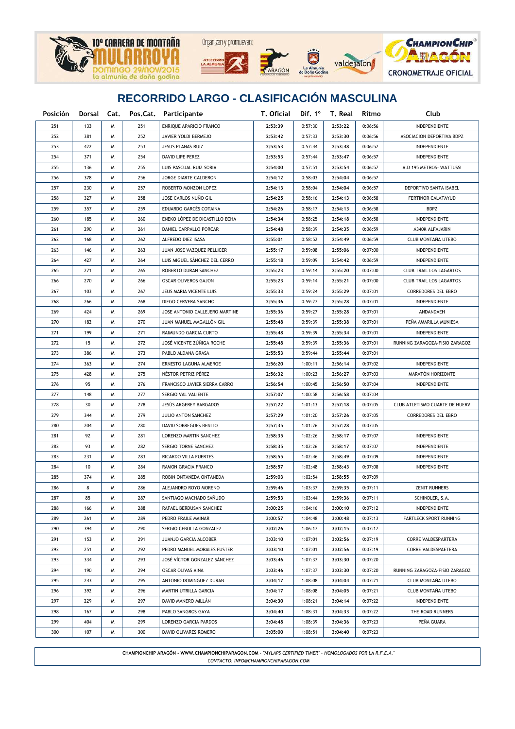





La Almuni<br>Doña God



## **RECORRIDO LARGO - CLASIFICACIÓN MASCULINA**

| Posición |     |   |     | Dorsal Cat. Pos.Cat. Participante | T. Oficial |         | Dif. 1° T. Real | Ritmo   | Club                           |  |  |
|----------|-----|---|-----|-----------------------------------|------------|---------|-----------------|---------|--------------------------------|--|--|
| 251      | 133 | W | 251 | ENRIQUE APARICIO FRANCO           | 2:53:39    | 0:57:30 | 2:53:22         | 0:06:56 | INDEPENDIENTE                  |  |  |
| 252      | 381 | W | 252 | JAVIER YOLDI BERMEJO              | 2:53:42    | 0:57:33 | 2:53:30         | 0:06:56 | ASOCIACION DEPORTIVA BDPZ      |  |  |
| 253      | 422 | M | 253 | JESUS PLANAS RUIZ                 | 2:53:53    | 0:57:44 | 2:53:48         | 0:06:57 | INDEPENDIENTE                  |  |  |
| 254      | 371 | M | 254 | DAVID LIPE PEREZ                  | 2:53:53    | 0:57:44 | 2:53:47         | 0:06:57 | INDEPENDIENTE                  |  |  |
| 255      | 136 | M | 255 | LUIS PASCUAL RUIZ SORIA           | 2:54:00    | 0:57:51 | 2:53:54         | 0:06:57 | A.D 195 METROS- WATTUSSI       |  |  |
| 256      | 378 | M | 256 | JORGE DIARTE CALDERON             | 2:54:12    | 0:58:03 | 2:54:04         | 0:06:57 |                                |  |  |
| 257      | 230 | M | 257 | ROBERTO MONZON LOPEZ              | 2:54:13    | 0:58:04 | 2:54:04         | 0:06:57 | DEPORTIVO SANTA ISABEL         |  |  |
| 258      | 327 | M | 258 | JOSE CARLOS NUÑO GIL              | 2:54:25    | 0:58:16 | 2:54:13         | 0:06:58 | FERTINOR CALATAYUD             |  |  |
| 259      | 357 | M | 259 | EDUARDO GARCÉS COTAINA            | 2:54:26    | 0:58:17 | 2:54:13         | 0:06:58 | <b>BDPZ</b>                    |  |  |
| 260      | 185 | M | 260 | ENEKO LÓPEZ DE DICASTILLO ECHA    | 2:54:34    | 0:58:25 | 2:54:18         | 0:06:58 | INDEPENDIENTE                  |  |  |
| 261      | 290 | M | 261 | DANIEL CARPALLO PORCAR            | 2:54:48    | 0:58:39 | 2:54:35         | 0:06:59 | A340K ALFAJARIN                |  |  |
| 262      | 168 | M | 262 | ALFREDO DIEZ ISASA                | 2:55:01    | 0:58:52 | 2:54:49         | 0:06:59 | CLUB MONTAÑA UTEBO             |  |  |
| 263      | 146 | M | 263 | JUAN JOSE VAZQUEZ PELLICER        | 2:55:17    | 0:59:08 | 2:55:06         | 0:07:00 | INDEPENDIENTE                  |  |  |
| 264      | 427 | M | 264 | LUIS MIGUEL SÁNCHEZ DEL CERRO     | 2:55:18    | 0:59:09 | 2:54:42         | 0:06:59 | INDEPENDIENTE                  |  |  |
| 265      | 271 | M | 265 | ROBERTO DURAN SANCHEZ             | 2:55:23    | 0:59:14 | 2:55:20         | 0:07:00 | <b>CLUB TRAIL LOS LAGARTOS</b> |  |  |
| 266      | 270 | M | 266 | OSCAR OLIVEROS GAJON              | 2:55:23    | 0:59:14 | 2:55:21         | 0:07:00 | <b>CLUB TRAIL LOS LAGARTOS</b> |  |  |
| 267      | 103 | M | 267 | JEUS MARIA VICENTE LUIS           | 2:55:33    | 0:59:24 | 2:55:29         | 0:07:01 | CORREDORES DEL EBRO            |  |  |
| 268      | 266 | M | 268 | DIEGO CERVERA SANCHO              | 2:55:36    | 0:59:27 | 2:55:28         | 0:07:01 | <b>INDEPENDIENTE</b>           |  |  |
| 269      | 424 | M | 269 | JOSE ANTONIO CALLEJERO MARTINE    | 2:55:36    | 0:59:27 | 2:55:28         | 0:07:01 | ANDANDAEH                      |  |  |
| 270      | 182 | M | 270 | JUAN MANUEL MAGALLON GIL          | 2:55:48    | 0:59:39 | 2:55:38         | 0:07:01 | PEÑA AMARILLA MUNIESA          |  |  |
| 271      | 199 | M | 271 | RAIMUNDO GARCIA CURTO             | 2:55:48    | 0:59:39 | 2:55:34         | 0:07:01 | <b>INDEPENDIENTE</b>           |  |  |
| 272      | 15  | M | 272 | JOSÉ VICENTE ZÚÑIGA ROCHE         | 2:55:48    | 0:59:39 | 2:55:36         | 0:07:01 | RUNNING ZARAGOZA-FISIO ZARAGOZ |  |  |
| 273      | 386 | M | 273 | PABLO ALDANA GRASA                | 2:55:53    | 0:59:44 | 2:55:44         | 0:07:01 |                                |  |  |
| 274      | 363 | M | 274 | ERNESTO LAGUNA ALMERGE            | 2:56:20    | 1:00:11 | 2:56:14         | 0:07:02 | INDEPENDIENTE                  |  |  |
| 275      | 428 | M | 275 | NÉSTOR PETRIZ PÉREZ               | 2:56:32    | 1:00:23 | 2:56:27         | 0:07:03 | MARATÓN HORIZONTE              |  |  |
| 276      | 95  | M | 276 | FRANCISCO JAVIER SIERRA CARRO     | 2:56:54    | 1:00:45 | 2:56:50         | 0:07:04 | INDEPENDIENTE                  |  |  |
| 277      | 148 | M | 277 | SERGIO VAL VALIENTE               | 2:57:07    | 1:00:58 | 2:56:58         | 0:07:04 |                                |  |  |
| 278      | 30  | M | 278 | JESÚS ARGEREY BARGADOS            | 2:57:22    | 1:01:13 | 2:57:18         | 0:07:05 | CLUB ATLETISMO CUARTE DE HUERV |  |  |
| 279      | 344 | M | 279 | JULIO ANTON SANCHEZ               | 2:57:29    | 1:01:20 | 2:57:26         | 0:07:05 | CORREDORES DEL EBRO            |  |  |
| 280      | 204 | M | 280 | DAVID SOBREGUES BENITO            | 2:57:35    | 1:01:26 | 2:57:28         | 0:07:05 |                                |  |  |
| 281      | 92  | M | 281 | LORENZO MARTIN SANCHEZ            | 2:58:35    | 1:02:26 | 2:58:17         | 0:07:07 | INDEPENDIENTE                  |  |  |
| 282      | 93  | M | 282 | SERGIO TORNE SANCHEZ              | 2:58:35    | 1:02:26 | 2:58:17         | 0:07:07 | <b>INDEPENDIENTE</b>           |  |  |
| 283      | 231 | M | 283 | RICARDO VILLA FUERTES             | 2:58:55    | 1:02:46 | 2:58:49         | 0:07:09 | INDEPENDIENTE                  |  |  |
| 284      | 10  | M | 284 | RAMON GRACIA FRANCO               | 2:58:57    | 1:02:48 | 2:58:43         | 0:07:08 | INDEPENDIENTE                  |  |  |
| 285      | 374 | M | 285 | ROBIN ONTANEDA ONTANEDA           | 2:59:03    | 1:02:54 | 2:58:55         | 0:07:09 |                                |  |  |
| 286      | 8   | M | 286 | ALEJANDRO ROYO MORENO             | 2:59:46    | 1:03:37 | 2:59:35         | 0:07:11 | <b>ZENIT RUNNERS</b>           |  |  |
| 287      | 85  | M | 287 | SANTIAGO MACHADO SAÑUDO           | 2:59:53    | 1:03:44 | 2:59:36         | 0:07:11 | SCHINDLER, S.A.                |  |  |
| 288      | 166 | м | 288 | RAFAEL BERDUSAN SANCHEZ           | 3:00:25    | 1:04:16 | 3:00:10         | 0:07:12 | INDEPENDIENTE                  |  |  |
| 289      | 261 | м | 289 | PEDRO FRAILE MAINAR               | 3:00:57    | 1:04:48 | 3:00:48         | 0:07:13 | <b>FARTLECK SPORT RUNNING</b>  |  |  |
| 290      | 394 | м | 290 | SERGIO CEBOLLA GONZALEZ           | 3:02:26    | 1:06:17 | 3:02:15         | 0:07:17 |                                |  |  |
| 291      | 153 | м | 291 | JUANJO GARCIA ALCOBER             | 3:03:10    | 1:07:01 | 3:02:56         | 0:07:19 | CORRE VALDESPARTERA            |  |  |
| 292      | 251 | м | 292 | PEDRO MANUEL MORALES FUSTER       | 3:03:10    | 1:07:01 | 3:02:56         | 0:07:19 | CORRE VALDESPAETERA            |  |  |
| 293      | 334 | м | 293 | JOSÉ VÍCTOR GONZALEZ SÁNCHEZ      | 3:03:46    | 1:07:37 | 3:03:30         | 0:07:20 |                                |  |  |
| 294      | 190 | M | 294 | OSCAR OLIVAS AINA                 | 3:03:46    | 1:07:37 | 3:03:30         | 0:07:20 | RUNNING ZARAGOZA-FISIO ZARAGOZ |  |  |
| 295      | 243 | M | 295 | ANTONIO DOMINGUEZ DURAN           | 3:04:17    | 1:08:08 | 3:04:04         | 0:07:21 | CLUB MONTAÑA UTEBO             |  |  |
| 296      | 392 | M | 296 | MARTIN UTRILLA GARCIA             | 3:04:17    | 1:08:08 | 3:04:05         | 0:07:21 | CLUB MONTAÑA UTEBO             |  |  |
| 297      | 229 | м | 297 | DAVID MANERO MILLÁN               | 3:04:30    | 1:08:21 | 3:04:14         | 0:07:22 | INDEPENDIENTE                  |  |  |
| 298      | 167 | м | 298 | PABLO SANGROS GAYA                | 3:04:40    | 1:08:31 | 3:04:33         | 0:07:22 | THE ROAD RUNNERS               |  |  |
| 299      | 404 | W | 299 | LORENZO GARCIA PARDOS             | 3:04:48    | 1:08:39 | 3:04:36         | 0:07:23 | PEÑA GUARA                     |  |  |
| 300      | 107 | Μ | 300 | DAVID OLIVARES ROMERO             | 3:05:00    | 1:08:51 | 3:04:40         | 0:07:23 |                                |  |  |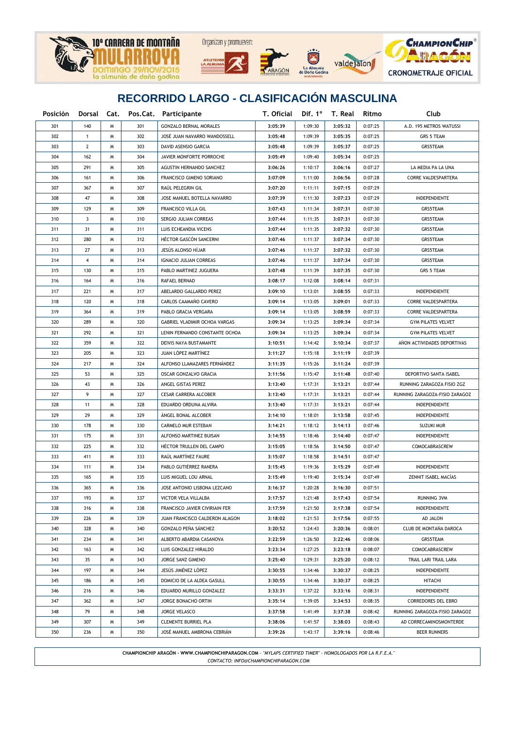





**CHAMPION CHIP<sup>®</sup>** ADACA **CRONOMETRAJE OFICIAL** 

# **RECORRIDO LARGO - CLASIFICACIÓN MASCULINA**

| Posición |              |   |     | Dorsal Cat. Pos.Cat. Participante | T. Oficial | Dif. 1° | T. Real | Ritmo   | Club                           |  |
|----------|--------------|---|-----|-----------------------------------|------------|---------|---------|---------|--------------------------------|--|
| 301      | 140          | M | 301 | <b>GONZALO BERNAL MORALES</b>     | 3:05:39    | 1:09:30 | 3:05:32 | 0:07:25 | A.D. 195 METROS WATUSSI        |  |
| 302      | $\mathbf{1}$ | M | 302 | JOSÉ JUAN NAVARRO WANDOSSELL      | 3:05:48    | 1:09:39 | 3:05:35 | 0:07:25 | <b>GRS 5 TEAM</b>              |  |
| 303      | 2            | M | 303 | DAVID ASENSIO GARCIA              | 3:05:48    | 1:09:39 | 3:05:37 | 0:07:25 | GRS5TEAM                       |  |
| 304      | 162          | M | 304 | JAVIER MONFORTE PORROCHE          | 3:05:49    | 1:09:40 | 3:05:34 | 0:07:25 |                                |  |
| 305      | 291          | M | 305 | AGUSTIN HERNANDO SANCHEZ          | 3:06:26    | 1:10:17 | 3:06:16 | 0:07:27 | LA MEDIA PA LA UNA             |  |
| 306      | 161          | M | 306 | FRANCISCO GIMENO SORIANO          | 3:07:09    | 1:11:00 | 3:06:56 | 0:07:28 | <b>CORRE VALDESPARTERA</b>     |  |
| 307      | 367          | M | 307 | RAÚL PELEGRIN GIL                 | 3:07:20    | 1:11:11 | 3:07:15 | 0:07:29 |                                |  |
| 308      | 47           | M | 308 | JOSE MANUEL BOTELLA NAVARRO       | 3:07:39    | 1:11:30 | 3:07:23 | 0:07:29 | INDEPENDIENTE                  |  |
| 309      | 129          | M | 309 | FRANCISCO VILLA GIL               | 3:07:43    | 1:11:34 | 3:07:31 | 0:07:30 | GRS5TEAM                       |  |
| 310      | 3            | M | 310 | SERGIO JULIAN CORREAS             | 3:07:44    | 1:11:35 | 3:07:31 | 0:07:30 | GRS5TEAM                       |  |
| 311      | 31           | M | 311 | LUIS ECHEANDIA VICENS             | 3:07:44    | 1:11:35 | 3:07:32 | 0:07:30 | GRS5TEAM                       |  |
| 312      | 280          | M | 312 | HÉCTOR GASCÓN SANCERNI            | 3:07:46    | 1:11:37 | 3:07:34 | 0:07:30 | GRS5TEAM                       |  |
| 313      | 27           | M | 313 | JESÚS ALONSO HÍJAR                | 3:07:46    | 1:11:37 | 3:07:32 | 0:07:30 | GRS5TEAM                       |  |
| 314      | 4            | W | 314 | <b>IGNACIO JULIAN CORREAS</b>     | 3:07:46    | 1:11:37 | 3:07:34 | 0:07:30 | GRS5TEAM                       |  |
| 315      | 130          | W | 315 | PABLO MARTINEZ JUGUERA            | 3:07:48    | 1:11:39 | 3:07:35 | 0:07:30 | <b>GRS 5 TEAM</b>              |  |
| 316      | 164          | M | 316 | RAFAEL BERNAD                     | 3:08:17    | 1:12:08 | 3:08:14 | 0:07:31 |                                |  |
| 317      | 221          | M | 317 | ABELARDO GALLARDO PEREZ           | 3:09:10    | 1:13:01 | 3:08:55 | 0:07:33 | INDEPENDIENTE                  |  |
| 318      | 120          | M | 318 | CARLOS CAAMAÑO CAVERO             | 3:09:14    | 1:13:05 | 3:09:01 | 0:07:33 | CORRE VALDESPARTERA            |  |
| 319      | 364          | M | 319 | PABLO GRACIA VERGARA              | 3:09:14    | 1:13:05 | 3:08:59 | 0:07:33 | CORRE VALDESPARTERA            |  |
| 320      | 289          | M | 320 | GABRIEL VLADIMIR OCHOA VARGAS     | 3:09:34    | 1:13:25 | 3:09:34 | 0:07:34 | <b>GYM PILATES VELVET</b>      |  |
| 321      | 292          | M | 321 | LENIN FERNANDO CONSTANTE OCHOA    | 3:09:34    | 1:13:25 | 3:09:34 | 0:07:34 | <b>GYM PILATES VELVET</b>      |  |
| 322      | 359          | M | 322 | DEIVIS NAYA BUSTAMANTE            | 3:10:51    | 1:14:42 | 3:10:34 | 0:07:37 | AÑON ACTIVIDADES DEPORTIVAS    |  |
| 323      | 205          | M | 323 | JUAN LÓPEZ MARTÍNEZ               | 3:11:27    | 1:15:18 | 3:11:19 | 0:07:39 |                                |  |
| 324      | 217          | M | 324 | ALFONSO LLAMAZARES FERNÁNDEZ      | 3:11:35    | 1:15:26 | 3:11:24 | 0:07:39 |                                |  |
| 325      | 53           | M | 325 | OSCAR GONZALVO GRACIA             | 3:11:56    | 1:15:47 | 3:11:48 | 0:07:40 | DEPORTIVO SANTA ISABEL         |  |
| 326      | 43           | M | 326 | ANGEL GISTAS PEREZ                | 3:13:40    | 1:17:31 | 3:13:21 | 0:07:44 | RUNNING ZARAGOZA FISIO ZGZ     |  |
| 327      | 9            | M | 327 | <b>CESAR CARRERA ALCOBER</b>      | 3:13:40    | 1:17:31 | 3:13:21 | 0:07:44 | RUNNING ZARAGOZA-FISIO ZARAGOZ |  |
| 328      | 11           | M | 328 | EDUARDO ORDUNA ALVIRA             | 3:13:40    | 1:17:31 | 3:13:21 | 0:07:44 | INDEPENDIENTE                  |  |
| 329      | 29           | M | 329 | ANGEL BONAL ALCOBER               | 3:14:10    | 1:18:01 | 3:13:58 | 0:07:45 | <b>INDEPENDIENTE</b>           |  |
| 330      | 178          | M | 330 | CARMELO MUR ESTEBAN               | 3:14:21    | 1:18:12 | 3:14:13 | 0:07:46 | SUZUKI MUR                     |  |
| 331      | 175          | M | 331 | ALFONSO MARTINEZ BUISAN           | 3:14:55    | 1:18:46 | 3:14:40 | 0:07:47 | INDEPENDIENTE                  |  |
| 332      | 225          | M | 332 | HÉCTOR TRULLEN DEL CAMPO          | 3:15:05    | 1:18:56 | 3:14:50 | 0:07:47 | COMOCABRASCREW                 |  |
| 333      | 411          | M | 333 | RAÚL MARTÍNEZ FAURE               | 3:15:07    | 1:18:58 | 3:14:51 | 0:07:47 |                                |  |
| 334      | 111          | м | 334 | PABLO GUTIÉRREZ RANERA            | 3:15:45    | 1:19:36 | 3:15:29 | 0:07:49 | INDEPENDIENTE                  |  |
| 335      | 165          | м | 335 | LUIS MIGUEL LOU ARNAL             | 3:15:49    | 1:19:40 | 3:15:34 | 0:07:49 | ZENNIT ISABEL MACÍAS           |  |
| 336      | 365          | W | 336 | JOSE ANTONIO LISBONA LEZCANO      | 3:16:37    | 1:20:28 | 3:16:30 | 0:07:51 |                                |  |
| 337      | 193          | Μ | 337 | VICTOR VELA VILLALBA              | 3:17:57    | 1:21:48 | 3:17:43 | 0:07:54 | <b>RUNNING 3VM</b>             |  |
| 338      | 316          | W | 338 | FRANCISCO JAVIER CIVIRIAIN FER    | 3:17:59    | 1:21:50 | 3:17:38 | 0:07:54 | INDEPENDIENTE                  |  |
| 339      | 226          | W | 339 | JUAN FRANCISCO CALDERON ALAGON    | 3:18:02    | 1:21:53 | 3:17:56 | 0:07:55 | AD JALON                       |  |
| 340      | 328          | W | 340 | GONZALO PEÑA SÁNCHEZ              | 3:20:52    | 1:24:43 | 3:20:36 | 0:08:01 | CLUB DE MONTAÑA DAROCA         |  |
| 341      | 234          | W | 341 | ALBERTO ABARDIA CASANOVA          | 3:22:59    | 1:26:50 | 3:22:46 | 0:08:06 | GRS5TEAM                       |  |
| 342      | 163          | W | 342 | LUIS GONZALEZ HIRALDO             | 3:23:34    | 1:27:25 | 3:23:18 | 0:08:07 | COMOCABRASCREW                 |  |
| 343      | 35           | W | 343 | JORGE SANZ GIMENO                 | 3:25:40    | 1:29:31 | 3:25:20 | 0:08:12 | TRAIL LARI TRAIL LARA          |  |
| 344      | 197          | м | 344 | JESÚS JIMÉNEZ LÓPEZ               | 3:30:55    | 1:34:46 | 3:30:37 | 0:08:25 | INDEPENDIENTE                  |  |
| 345      | 186          | Μ | 345 | DOMICIO DE LA ALDEA GASULL        | 3:30:55    | 1:34:46 | 3:30:37 | 0:08:25 | <b>HITACHI</b>                 |  |
| 346      | 216          | Μ | 346 | EDUARDO MURILLO GONZALEZ          | 3:33:31    | 1:37:22 | 3:33:16 | 0:08:31 | INDEPENDIENTE                  |  |
| 347      | 362          | Μ | 347 | <b>JORGE BONACHO ORTIN</b>        | 3:35:14    | 1:39:05 | 3:34:53 | 0:08:35 | <b>CORREDORES DEL EBRO</b>     |  |
| 348      | 79           | Μ | 348 | JORGE VELASCO                     | 3:37:58    | 1:41:49 | 3:37:38 | 0:08:42 | RUNNING ZARAGOZA-FISIO ZARAGOZ |  |
| 349      | 307          | м | 349 | <b>CLEMENTE BURRIEL PLA</b>       | 3:38:06    | 1:41:57 | 3:38:03 | 0:08:43 | AD CORRECAMINOSMONTERDE        |  |
| 350      | 236          | Μ | 350 | JOSÉ MANUEL AMBRONA CEBRIÁN       | 3:39:26    | 1:43:17 | 3:39:16 | 0:08:46 | <b>BEER RUNNERS</b>            |  |